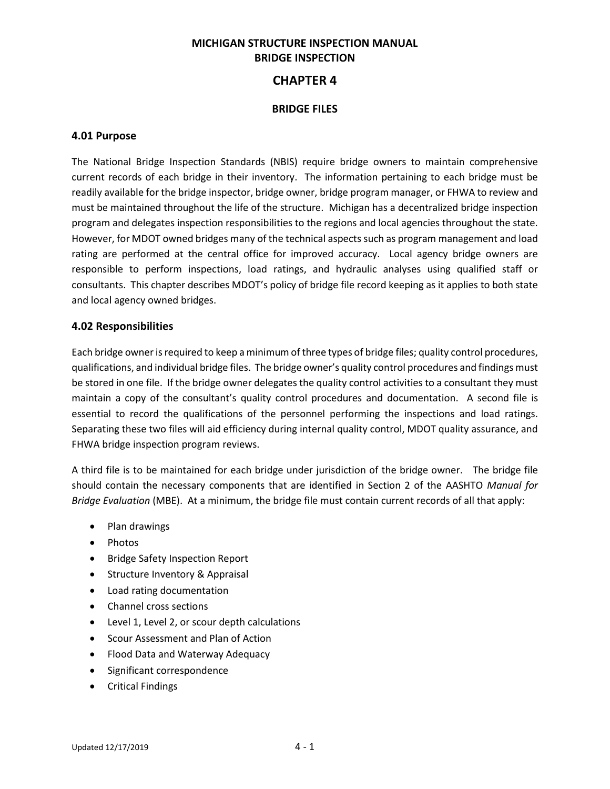# **MICHIGAN STRUCTURE INSPECTION MANUAL BRIDGE INSPECTION**

# **CHAPTER 4**

### **BRIDGE FILES**

#### **4.01 Purpose**

The National Bridge Inspection Standards (NBIS) require bridge owners to maintain comprehensive current records of each bridge in their inventory. The information pertaining to each bridge must be readily available for the bridge inspector, bridge owner, bridge program manager, or FHWA to review and must be maintained throughout the life of the structure. Michigan has a decentralized bridge inspection program and delegates inspection responsibilities to the regions and local agencies throughout the state. However, for MDOT owned bridges many of the technical aspects such as program management and load rating are performed at the central office for improved accuracy. Local agency bridge owners are responsible to perform inspections, load ratings, and hydraulic analyses using qualified staff or consultants. This chapter describes MDOT's policy of bridge file record keeping as it applies to both state and local agency owned bridges.

#### **4.02 Responsibilities**

Each bridge owner is required to keep a minimum of three types of bridge files; quality control procedures, qualifications, and individual bridge files. The bridge owner's quality control procedures and findings must be stored in one file. If the bridge owner delegates the quality control activities to a consultant they must maintain a copy of the consultant's quality control procedures and documentation. A second file is essential to record the qualifications of the personnel performing the inspections and load ratings. Separating these two files will aid efficiency during internal quality control, MDOT quality assurance, and FHWA bridge inspection program reviews.

A third file is to be maintained for each bridge under jurisdiction of the bridge owner. The bridge file should contain the necessary components that are identified in Section 2 of the AASHTO *Manual for Bridge Evaluation* (MBE). At a minimum, the bridge file must contain current records of all that apply:

- Plan drawings
- Photos
- Bridge Safety Inspection Report
- Structure Inventory & Appraisal
- Load rating documentation
- Channel cross sections
- Level 1, Level 2, or scour depth calculations
- Scour Assessment and Plan of Action
- Flood Data and Waterway Adequacy
- Significant correspondence
- Critical Findings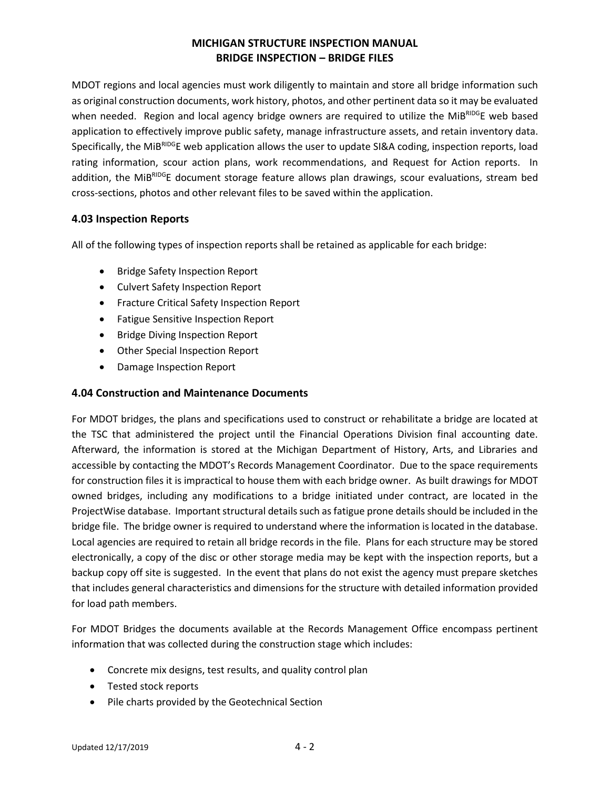MDOT regions and local agencies must work diligently to maintain and store all bridge information such as original construction documents, work history, photos, and other pertinent data so it may be evaluated when needed. Region and local agency bridge owners are required to utilize the MiBRIDGE web based application to effectively improve public safety, manage infrastructure assets, and retain inventory data. Specifically, the MiBRIDGE web application allows the user to update SI&A coding, inspection reports, load rating information, scour action plans, work recommendations, and Request for Action reports. In addition, the MiBRIDGE document storage feature allows plan drawings, scour evaluations, stream bed cross-sections, photos and other relevant files to be saved within the application.

### **4.03 Inspection Reports**

All of the following types of inspection reports shall be retained as applicable for each bridge:

- Bridge Safety Inspection Report
- Culvert Safety Inspection Report
- Fracture Critical Safety Inspection Report
- Fatigue Sensitive Inspection Report
- Bridge Diving Inspection Report
- Other Special Inspection Report
- Damage Inspection Report

### **4.04 Construction and Maintenance Documents**

For MDOT bridges, the plans and specifications used to construct or rehabilitate a bridge are located at the TSC that administered the project until the Financial Operations Division final accounting date. Afterward, the information is stored at the Michigan Department of History, Arts, and Libraries and accessible by contacting the MDOT's Records Management Coordinator. Due to the space requirements for construction files it is impractical to house them with each bridge owner. As built drawings for MDOT owned bridges, including any modifications to a bridge initiated under contract, are located in the ProjectWise database. Important structural details such as fatigue prone details should be included in the bridge file. The bridge owner is required to understand where the information is located in the database. Local agencies are required to retain all bridge records in the file. Plans for each structure may be stored electronically, a copy of the disc or other storage media may be kept with the inspection reports, but a backup copy off site is suggested. In the event that plans do not exist the agency must prepare sketches that includes general characteristics and dimensions for the structure with detailed information provided for load path members.

For MDOT Bridges the documents available at the Records Management Office encompass pertinent information that was collected during the construction stage which includes:

- Concrete mix designs, test results, and quality control plan
- Tested stock reports
- Pile charts provided by the Geotechnical Section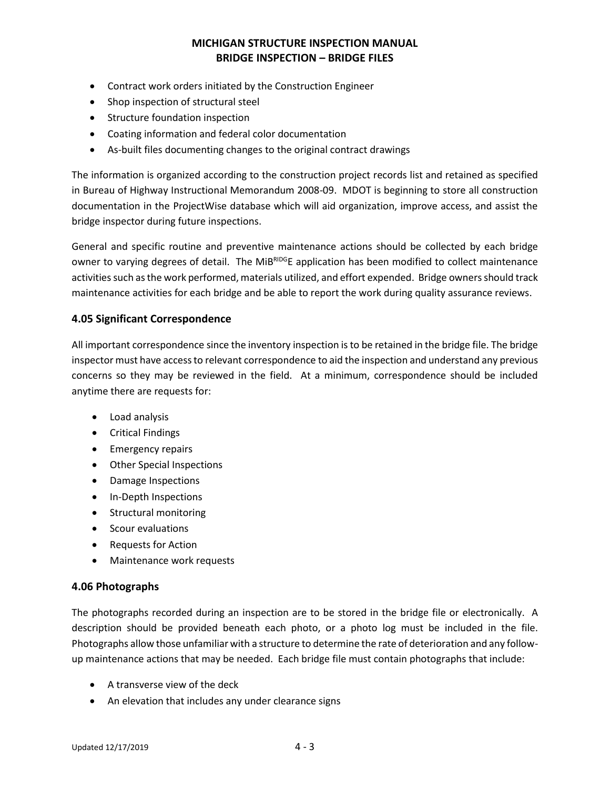- Contract work orders initiated by the Construction Engineer
- Shop inspection of structural steel
- Structure foundation inspection
- Coating information and federal color documentation
- As-built files documenting changes to the original contract drawings

The information is organized according to the construction project records list and retained as specified in Bureau of Highway Instructional Memorandum 2008-09. MDOT is beginning to store all construction documentation in the ProjectWise database which will aid organization, improve access, and assist the bridge inspector during future inspections.

General and specific routine and preventive maintenance actions should be collected by each bridge owner to varying degrees of detail. The MiBRIDGE application has been modified to collect maintenance activities such as the work performed, materials utilized, and effort expended. Bridge owners should track maintenance activities for each bridge and be able to report the work during quality assurance reviews.

### **4.05 Significant Correspondence**

All important correspondence since the inventory inspection is to be retained in the bridge file. The bridge inspector must have access to relevant correspondence to aid the inspection and understand any previous concerns so they may be reviewed in the field. At a minimum, correspondence should be included anytime there are requests for:

- Load analysis
- Critical Findings
- Emergency repairs
- Other Special Inspections
- Damage Inspections
- In-Depth Inspections
- Structural monitoring
- Scour evaluations
- Requests for Action
- Maintenance work requests

#### **4.06 Photographs**

The photographs recorded during an inspection are to be stored in the bridge file or electronically. A description should be provided beneath each photo, or a photo log must be included in the file. Photographs allow those unfamiliar with a structure to determine the rate of deterioration and any followup maintenance actions that may be needed. Each bridge file must contain photographs that include:

- A transverse view of the deck
- An elevation that includes any under clearance signs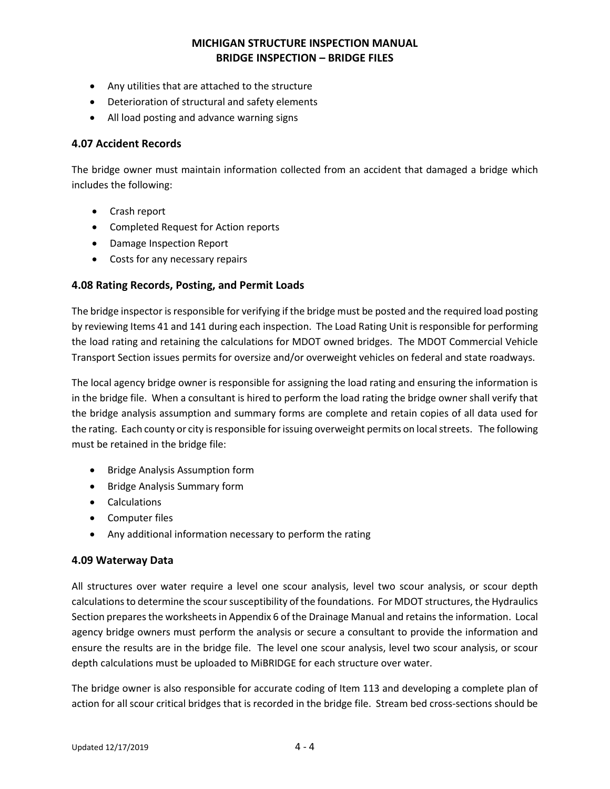- Any utilities that are attached to the structure
- Deterioration of structural and safety elements
- All load posting and advance warning signs

#### **4.07 Accident Records**

The bridge owner must maintain information collected from an accident that damaged a bridge which includes the following:

- Crash report
- Completed Request for Action reports
- Damage Inspection Report
- Costs for any necessary repairs

### **4.08 Rating Records, Posting, and Permit Loads**

The bridge inspector is responsible for verifying if the bridge must be posted and the required load posting by reviewing Items 41 and 141 during each inspection. The Load Rating Unit is responsible for performing the load rating and retaining the calculations for MDOT owned bridges. The MDOT Commercial Vehicle Transport Section issues permits for oversize and/or overweight vehicles on federal and state roadways.

The local agency bridge owner is responsible for assigning the load rating and ensuring the information is in the bridge file. When a consultant is hired to perform the load rating the bridge owner shall verify that the bridge analysis assumption and summary forms are complete and retain copies of all data used for the rating. Each county or city is responsible for issuing overweight permits on local streets. The following must be retained in the bridge file:

- Bridge Analysis Assumption form
- Bridge Analysis Summary form
- Calculations
- Computer files
- Any additional information necessary to perform the rating

#### **4.09 Waterway Data**

All structures over water require a level one scour analysis, level two scour analysis, or scour depth calculations to determine the scour susceptibility of the foundations. For MDOT structures, the Hydraulics Section prepares the worksheets in Appendix 6 of the Drainage Manual and retains the information. Local agency bridge owners must perform the analysis or secure a consultant to provide the information and ensure the results are in the bridge file. The level one scour analysis, level two scour analysis, or scour depth calculations must be uploaded to MiBRIDGE for each structure over water.

The bridge owner is also responsible for accurate coding of Item 113 and developing a complete plan of action for all scour critical bridges that is recorded in the bridge file. Stream bed cross-sections should be